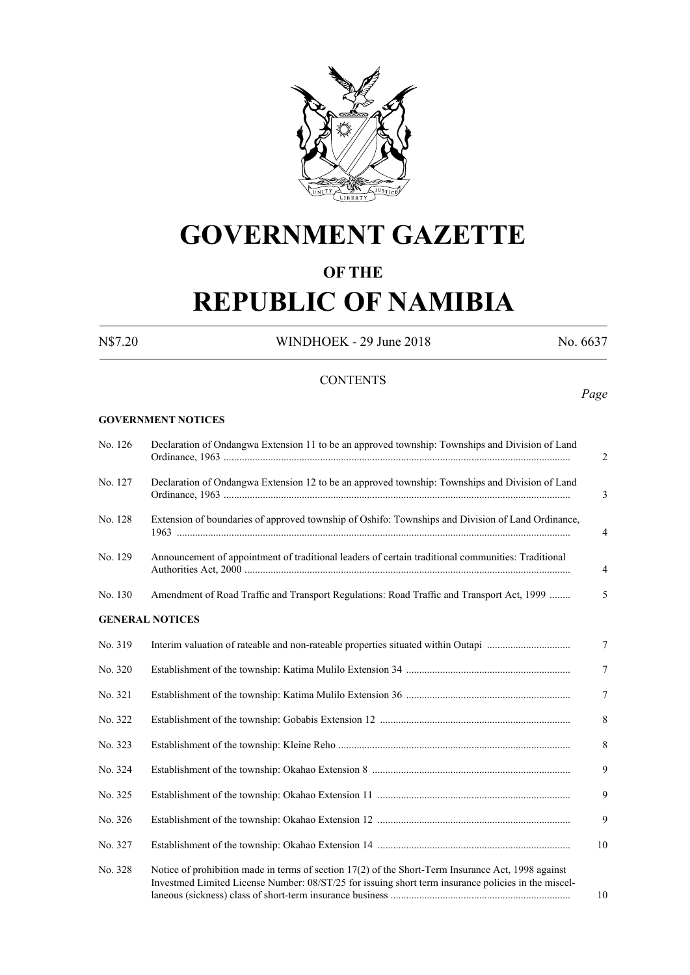

# **GOVERNMENT GAZETTE**

# **OF THE**

# **REPUBLIC OF NAMIBIA**

N\$7.20 WINDHOEK - 29 June 2018 No. 6637

*Page*

### **CONTENTS**

#### **GOVERNMENT NOTICES**

| No. 126 | Declaration of Ondangwa Extension 11 to be an approved township: Townships and Division of Land                                                                                                           |
|---------|-----------------------------------------------------------------------------------------------------------------------------------------------------------------------------------------------------------|
| No. 127 | Declaration of Ondangwa Extension 12 to be an approved township: Townships and Division of Land                                                                                                           |
| No. 128 | Extension of boundaries of approved township of Oshifo: Townships and Division of Land Ordinance,                                                                                                         |
| No. 129 | Announcement of appointment of traditional leaders of certain traditional communities: Traditional                                                                                                        |
| No. 130 | Amendment of Road Traffic and Transport Regulations: Road Traffic and Transport Act, 1999                                                                                                                 |
|         | <b>GENERAL NOTICES</b>                                                                                                                                                                                    |
| No. 319 |                                                                                                                                                                                                           |
| No. 320 |                                                                                                                                                                                                           |
| No. 321 |                                                                                                                                                                                                           |
| No. 322 |                                                                                                                                                                                                           |
| No. 323 |                                                                                                                                                                                                           |
| No. 324 |                                                                                                                                                                                                           |
| No. 325 |                                                                                                                                                                                                           |
| No. 326 |                                                                                                                                                                                                           |
| No. 327 |                                                                                                                                                                                                           |
| No. 328 | Notice of prohibition made in terms of section 17(2) of the Short-Term Insurance Act, 1998 against<br>Investmed Limited License Number: 08/ST/25 for issuing short term insurance policies in the miscel- |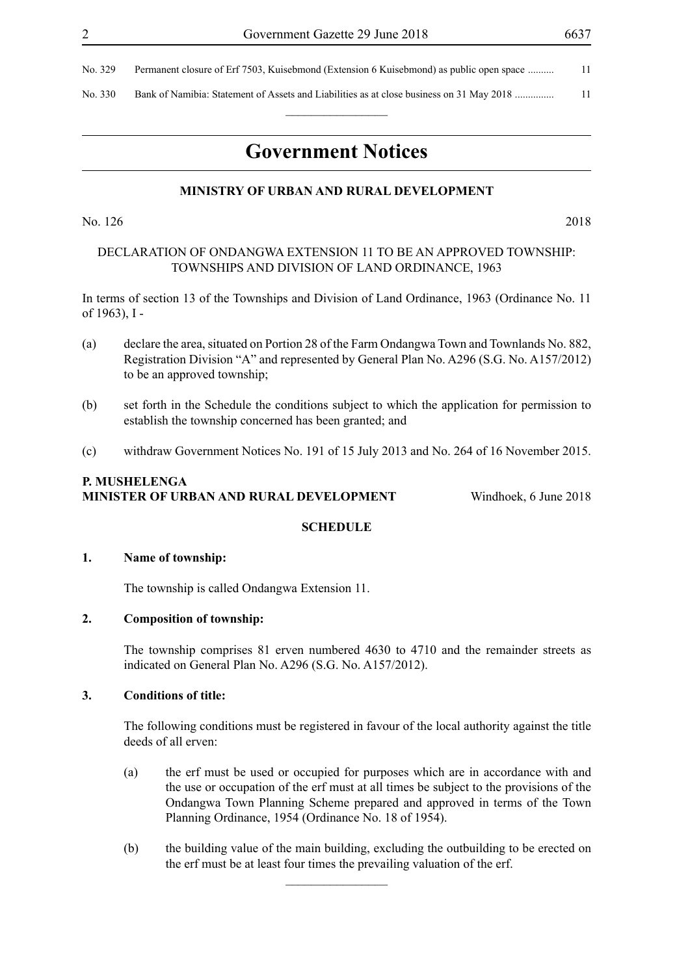| No. 329 | Permanent closure of Erf 7503, Kuisebmond (Extension 6 Kuisebmond) as public open space  |  |
|---------|------------------------------------------------------------------------------------------|--|
| No. 330 | Bank of Namibia: Statement of Assets and Liabilities as at close business on 31 May 2018 |  |
|         |                                                                                          |  |

# **Government Notices**

#### **MINISTRY OF URBAN AND RURAL DEVELOPMENT**

No. 126 2018

#### DECLARATION OF ONDANGWA EXTENSION 11 TO BE AN APPROVED TOWNSHIP: TOWNSHIPS AND DIVISION OF LAND ORDINANCE, 1963

In terms of section 13 of the Townships and Division of Land Ordinance, 1963 (Ordinance No. 11 of 1963), I -

- (a) declare the area, situated on Portion 28 of the Farm Ondangwa Town and Townlands No. 882, Registration Division "A" and represented by General Plan No. A296 (S.G. No. A157/2012) to be an approved township;
- (b) set forth in the Schedule the conditions subject to which the application for permission to establish the township concerned has been granted; and
- (c) withdraw Government Notices No. 191 of 15 July 2013 and No. 264 of 16 November 2015.

#### **P. Mushelenga Minister of Urban and Rural Development** Windhoek, 6 June 2018

#### **SCHEDULE**

#### **1. Name of township:**

The township is called Ondangwa Extension 11.

#### **2. Composition of township:**

The township comprises 81 erven numbered 4630 to 4710 and the remainder streets as indicated on General Plan No. A296 (S.G. No. A157/2012).

#### **3. Conditions of title:**

The following conditions must be registered in favour of the local authority against the title deeds of all erven:

- (a) the erf must be used or occupied for purposes which are in accordance with and the use or occupation of the erf must at all times be subject to the provisions of the Ondangwa Town Planning Scheme prepared and approved in terms of the Town Planning Ordinance, 1954 (Ordinance No. 18 of 1954).
- (b) the building value of the main building, excluding the outbuilding to be erected on the erf must be at least four times the prevailing valuation of the erf.

 $\frac{1}{2}$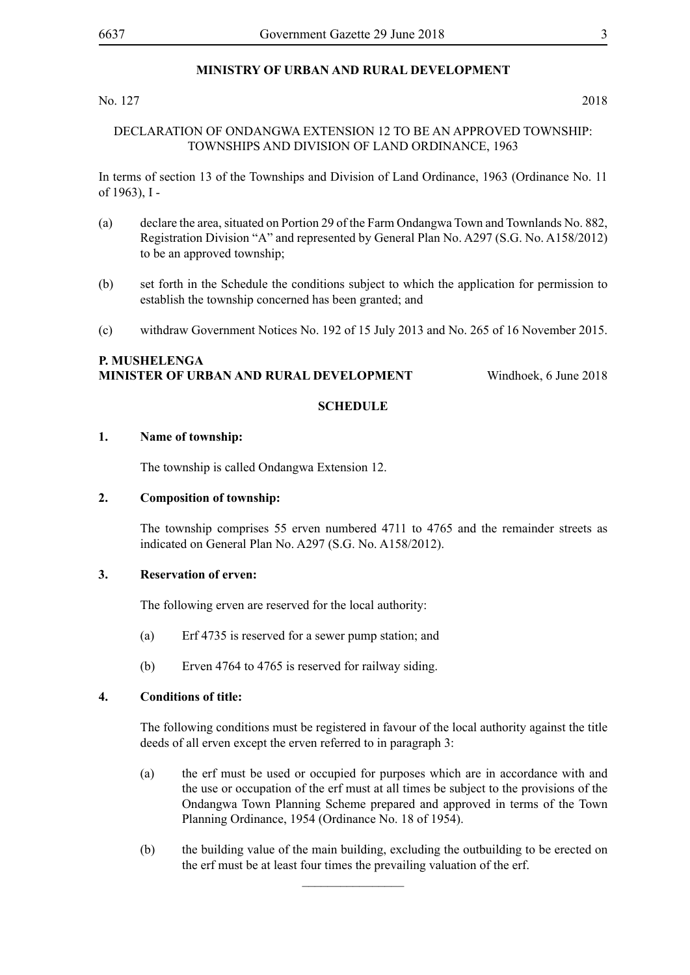#### **MINISTRY OF URBAN AND RURAL DEVELOPMENT**

#### No. 127 2018

#### DECLARATION OF ONDANGWA EXTENSION 12 TO BE AN APPROVED TOWNSHIP: TOWNSHIPS AND DIVISION OF LAND ORDINANCE, 1963

In terms of section 13 of the Townships and Division of Land Ordinance, 1963 (Ordinance No. 11 of 1963), I -

- (a) declare the area, situated on Portion 29 of the Farm Ondangwa Town and Townlands No. 882, Registration Division "A" and represented by General Plan No. A297 (S.G. No. A158/2012) to be an approved township;
- (b) set forth in the Schedule the conditions subject to which the application for permission to establish the township concerned has been granted; and
- (c) withdraw Government Notices No. 192 of 15 July 2013 and No. 265 of 16 November 2015.

#### **P. Mushelenga Minister of Urban and Rural Development** Windhoek, 6 June 2018

#### **SCHEDULE**

#### **1. Name of township:**

The township is called Ondangwa Extension 12.

#### **2. Composition of township:**

The township comprises 55 erven numbered 4711 to 4765 and the remainder streets as indicated on General Plan No. A297 (S.G. No. A158/2012).

#### **3. Reservation of erven:**

The following erven are reserved for the local authority:

- (a) Erf 4735 is reserved for a sewer pump station; and
- (b) Erven 4764 to 4765 is reserved for railway siding.

#### **4. Conditions of title:**

The following conditions must be registered in favour of the local authority against the title deeds of all erven except the erven referred to in paragraph 3:

- (a) the erf must be used or occupied for purposes which are in accordance with and the use or occupation of the erf must at all times be subject to the provisions of the Ondangwa Town Planning Scheme prepared and approved in terms of the Town Planning Ordinance, 1954 (Ordinance No. 18 of 1954).
- (b) the building value of the main building, excluding the outbuilding to be erected on the erf must be at least four times the prevailing valuation of the erf.

 $\frac{1}{2}$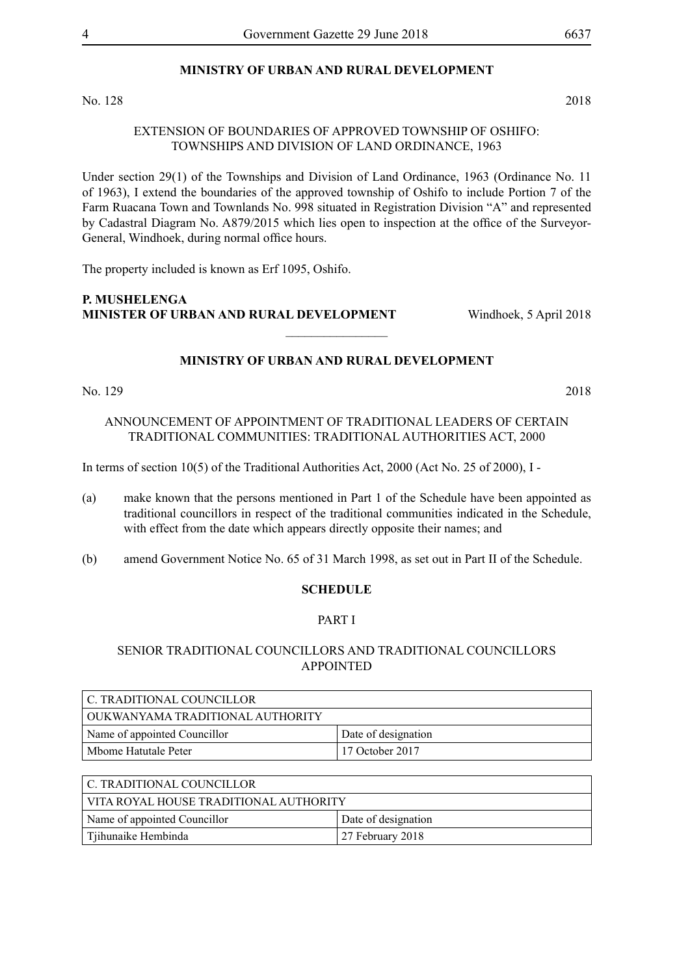#### **MINISTRY OF URBAN AND RURAL DEVELOPMENT**

No. 128 2018

#### EXTENSION OF BOUNDARIES OF APPROVED TOWNSHIP OF OSHIFO: TOWNSHIPS AND DIVISION OF LAND ORDINANCE, 1963

Under section 29(1) of the Townships and Division of Land Ordinance, 1963 (Ordinance No. 11 of 1963), I extend the boundaries of the approved township of Oshifo to include Portion 7 of the Farm Ruacana Town and Townlands No. 998 situated in Registration Division "A" and represented by Cadastral Diagram No. A879/2015 which lies open to inspection at the office of the Surveyor-General, Windhoek, during normal office hours.

The property included is known as Erf 1095, Oshifo.

#### **P. Mushelenga Minister of Urban and Rural Development** Windhoek, 5 April 2018

#### **MINISTRY OF URBAN AND RURAL DEVELOPMENT**

 $\frac{1}{2}$ 

No. 129 2018

ANNOUNCEMENT OF APPOINTMENT OF TRADITIONAL LEADERS OF CERTAIN TRADITIONAL COMMUNITIES: TRADITIONAL AUTHORITIES ACT, 2000

In terms of section 10(5) of the Traditional Authorities Act, 2000 (Act No. 25 of 2000), I -

- (a) make known that the persons mentioned in Part 1 of the Schedule have been appointed as traditional councillors in respect of the traditional communities indicated in the Schedule, with effect from the date which appears directly opposite their names; and
- (b) amend Government Notice No. 65 of 31 March 1998, as set out in Part II of the Schedule.

#### **SCHEDULE**

#### PART I

#### SENIOR TRADITIONAL COUNCILLORS AND TRADITIONAL COUNCILLORS APPOINTED

| C. TRADITIONAL COUNCILLOR        |                     |
|----------------------------------|---------------------|
| OUKWANYAMA TRADITIONAL AUTHORITY |                     |
| Name of appointed Councillor     | Date of designation |
| Mbome Hatutale Peter             | $17$ October 2017   |

| C. TRADITIONAL COUNCILLOR_             |                     |  |
|----------------------------------------|---------------------|--|
| VITA ROYAL HOUSE TRADITIONAL AUTHORITY |                     |  |
| Name of appointed Councillor           | Date of designation |  |
| Tiihunaike Hembinda                    | $27$ February 2018  |  |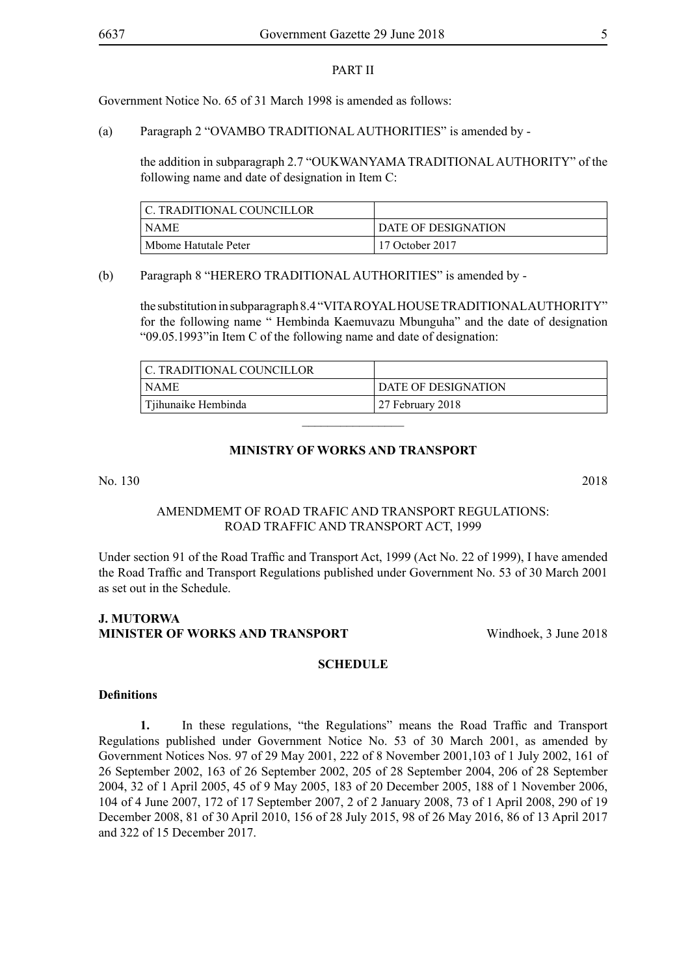#### PART II

Government Notice No. 65 of 31 March 1998 is amended as follows:

(a) Paragraph 2 "OVAMBO TRADITIONAL AUTHORITIES" is amended by -

the addition in subparagraph 2.7 "OUKWANYAMA TRADITIONAL AUTHORITY" of the following name and date of designation in Item C:

| C. TRADITIONAL COUNCILLOR |                     |
|---------------------------|---------------------|
| <b>NAME</b>               | DATE OF DESIGNATION |
| Mbome Hatutale Peter      | 17 October 2017     |

#### (b) Paragraph 8 "HERERO TRADITIONAL AUTHORITIES" is amended by -

the substitution in subparagraph 8.4 "VITA ROYAL HOUSE TRADITIONAL AUTHORITY" for the following name " Hembinda Kaemuvazu Mbunguha" and the date of designation "09.05.1993"in Item C of the following name and date of designation:

| C. TRADITIONAL COUNCILLOR |                     |
|---------------------------|---------------------|
| <b>NAME</b>               | DATE OF DESIGNATION |
| Tjihunaike Hembinda       | 27 February 2018    |

#### **MINISTRY OF WORKS AND TRANSPORT**

 $\frac{1}{2}$ 

No. 130 2018

#### AMENDMEMT OF ROAD TRAFIC AND TRANSPORT REGULATIONS: ROAD TRAFFIC AND TRANSPORT ACT, 1999

Under section 91 of the Road Traffic and Transport Act, 1999 (Act No. 22 of 1999), I have amended the Road Traffic and Transport Regulations published under Government No. 53 of 30 March 2001 as set out in the Schedule.

#### **J. MUTORWA MINISTER OF WORKS AND TRANSPORT** Windhoek, 3 June 2018

#### **SCHEDULE**

#### **Definitions**

**1.** In these regulations, "the Regulations" means the Road Traffic and Transport Regulations published under Government Notice No. 53 of 30 March 2001, as amended by Government Notices Nos. 97 of 29 May 2001, 222 of 8 November 2001,103 of 1 July 2002, 161 of 26 September 2002, 163 of 26 September 2002, 205 of 28 September 2004, 206 of 28 September 2004, 32 of 1 April 2005, 45 of 9 May 2005, 183 of 20 December 2005, 188 of 1 November 2006, 104 of 4 June 2007, 172 of 17 September 2007, 2 of 2 January 2008, 73 of 1 April 2008, 290 of 19 December 2008, 81 of 30 April 2010, 156 of 28 July 2015, 98 of 26 May 2016, 86 of 13 April 2017 and 322 of 15 December 2017.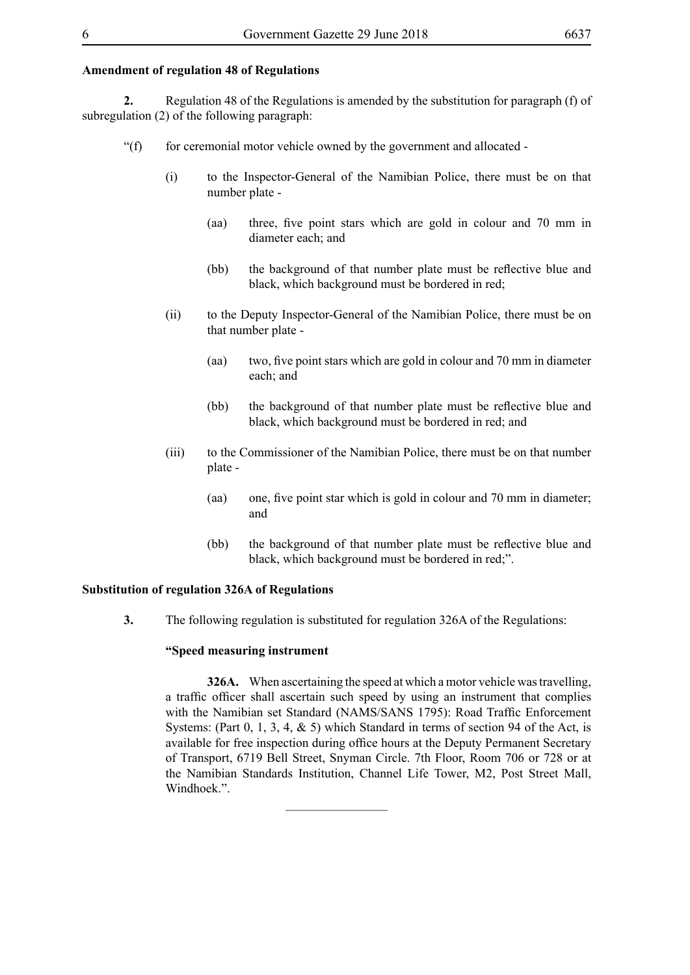#### **Amendment of regulation 48 of Regulations**

**2.** Regulation 48 of the Regulations is amended by the substitution for paragraph (f) of subregulation (2) of the following paragraph:

- "(f) for ceremonial motor vehicle owned by the government and allocated -
	- (i) to the Inspector-General of the Namibian Police, there must be on that number plate -
		- (aa) three, five point stars which are gold in colour and 70 mm in diameter each; and
		- (bb) the background of that number plate must be reflective blue and black, which background must be bordered in red;
	- (ii) to the Deputy Inspector-General of the Namibian Police, there must be on that number plate -
		- (aa) two, five point stars which are gold in colour and 70 mm in diameter each; and
		- (bb) the background of that number plate must be reflective blue and black, which background must be bordered in red; and
	- (iii) to the Commissioner of the Namibian Police, there must be on that number plate -
		- (aa) one, five point star which is gold in colour and 70 mm in diameter; and
		- (bb) the background of that number plate must be reflective blue and black, which background must be bordered in red;".

#### **Substitution of regulation 326A of Regulations**

**3.** The following regulation is substituted for regulation 326A of the Regulations:

 $\overline{\phantom{a}}$  , where  $\overline{\phantom{a}}$ 

#### **"Speed measuring instrument**

**326A.** When ascertaining the speed at which a motor vehicle was travelling, a traffic officer shall ascertain such speed by using an instrument that complies with the Namibian set Standard (NAMS/SANS 1795): Road Traffic Enforcement Systems: (Part  $0, 1, 3, 4, \& 5$ ) which Standard in terms of section 94 of the Act, is available for free inspection during office hours at the Deputy Permanent Secretary of Transport, 6719 Bell Street, Snyman Circle. 7th Floor, Room 706 or 728 or at the Namibian Standards Institution, Channel Life Tower, M2, Post Street Mall, Windhoek.".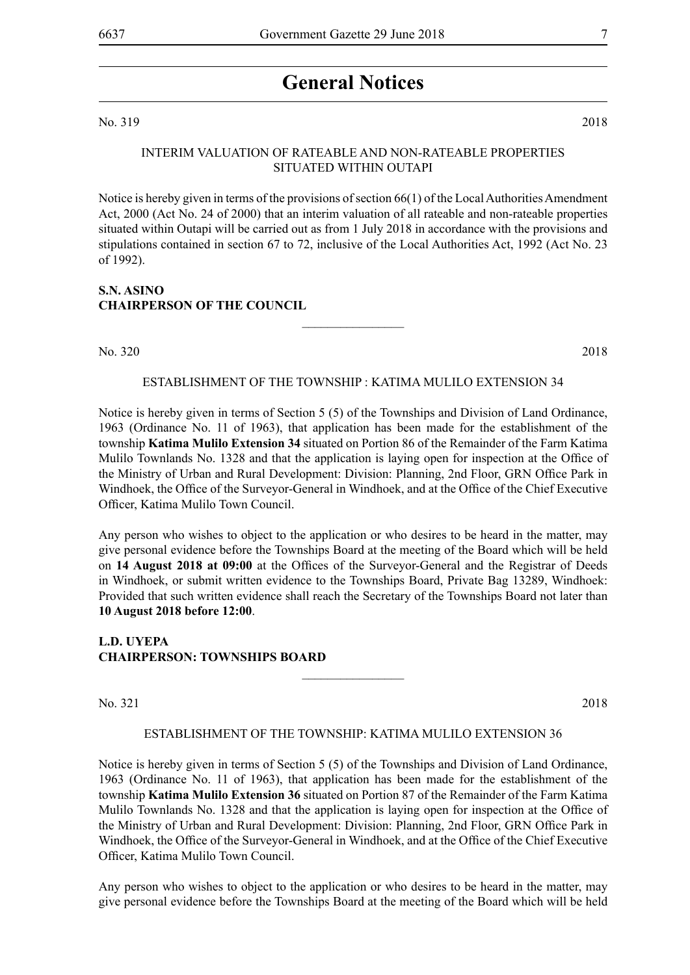# **General Notices**

#### No. 319 2018

#### INTERIM VALUATION OF RATEABLE AND NON-RATEABLE PROPERTIES SITUATED WITHIN OUTAPI

Notice is hereby given in terms of the provisions of section 66(1) of the Local Authorities Amendment Act, 2000 (Act No. 24 of 2000) that an interim valuation of all rateable and non-rateable properties situated within Outapi will be carried out as from 1 July 2018 in accordance with the provisions and stipulations contained in section 67 to 72, inclusive of the Local Authorities Act, 1992 (Act No. 23 of 1992).

#### **S.N. ASINO CHAIRPERSON OF THE COUNCIL**

No. 320 2018

#### ESTABLISHMENT OF THE TOWNSHIP : KATIMA MULILO EXTENSION 34

 $\frac{1}{2}$ 

Notice is hereby given in terms of Section 5 (5) of the Townships and Division of Land Ordinance, 1963 (Ordinance No. 11 of 1963), that application has been made for the establishment of the township **Katima Mulilo Extension 34** situated on Portion 86 of the Remainder of the Farm Katima Mulilo Townlands No. 1328 and that the application is laying open for inspection at the Office of the Ministry of Urban and Rural Development: Division: Planning, 2nd Floor, GRN Office Park in Windhoek, the Office of the Surveyor-General in Windhoek, and at the Office of the Chief Executive Officer, Katima Mulilo Town Council.

Any person who wishes to object to the application or who desires to be heard in the matter, may give personal evidence before the Townships Board at the meeting of the Board which will be held on **14 August 2018 at 09:00** at the Offices of the Surveyor-General and the Registrar of Deeds in Windhoek, or submit written evidence to the Townships Board, Private Bag 13289, Windhoek: Provided that such written evidence shall reach the Secretary of the Townships Board not later than **10 August 2018 before 12:00**.

**L.D. UYEPA CHAIRPERSON: TOWNSHIPS BOARD**

No. 321 2018

#### ESTABLISHMENT OF THE TOWNSHIP: KATIMA MULILO EXTENSION 36

 $\frac{1}{2}$ 

Notice is hereby given in terms of Section 5 (5) of the Townships and Division of Land Ordinance, 1963 (Ordinance No. 11 of 1963), that application has been made for the establishment of the township **Katima Mulilo Extension 36** situated on Portion 87 of the Remainder of the Farm Katima Mulilo Townlands No. 1328 and that the application is laying open for inspection at the Office of the Ministry of Urban and Rural Development: Division: Planning, 2nd Floor, GRN Office Park in Windhoek, the Office of the Surveyor-General in Windhoek, and at the Office of the Chief Executive Officer, Katima Mulilo Town Council.

Any person who wishes to object to the application or who desires to be heard in the matter, may give personal evidence before the Townships Board at the meeting of the Board which will be held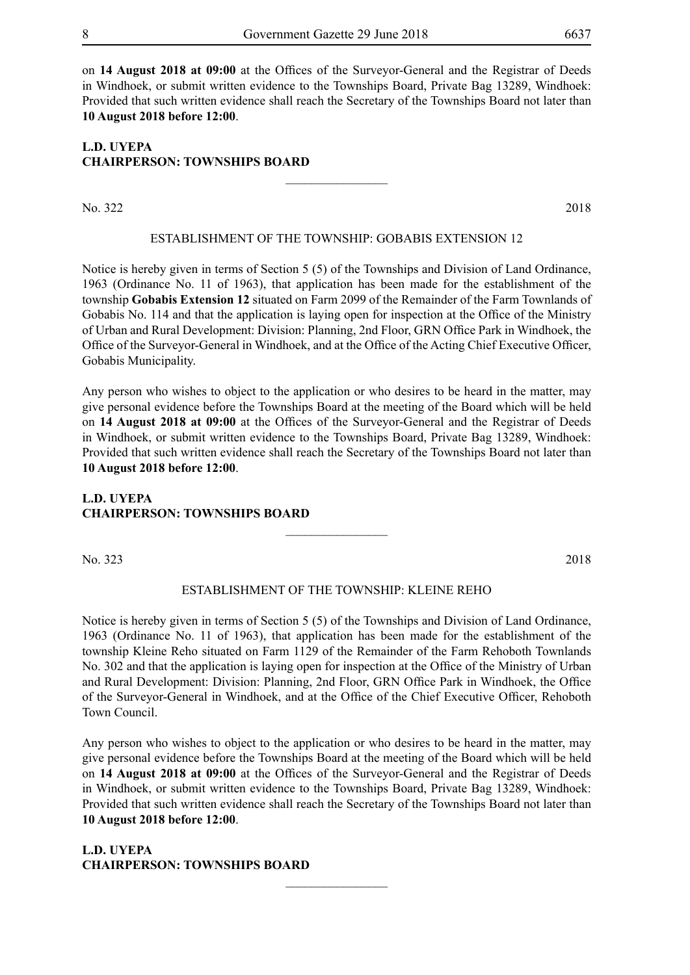on **14 August 2018 at 09:00** at the Offices of the Surveyor-General and the Registrar of Deeds in Windhoek, or submit written evidence to the Townships Board, Private Bag 13289, Windhoek: Provided that such written evidence shall reach the Secretary of the Townships Board not later than **10 August 2018 before 12:00**.

#### **L.D. UYEPA CHAIRPERSON: TOWNSHIPS BOARD**

No. 322 2018

#### ESTABLISHMENT OF THE TOWNSHIP: GOBABIS EXTENSION 12

 $\overline{\phantom{a}}$  , where  $\overline{\phantom{a}}$ 

Notice is hereby given in terms of Section 5 (5) of the Townships and Division of Land Ordinance, 1963 (Ordinance No. 11 of 1963), that application has been made for the establishment of the township **Gobabis Extension 12** situated on Farm 2099 of the Remainder of the Farm Townlands of Gobabis No. 114 and that the application is laying open for inspection at the Office of the Ministry of Urban and Rural Development: Division: Planning, 2nd Floor, GRN Office Park in Windhoek, the Office of the Surveyor-General in Windhoek, and at the Office of the Acting Chief Executive Officer, Gobabis Municipality.

Any person who wishes to object to the application or who desires to be heard in the matter, may give personal evidence before the Townships Board at the meeting of the Board which will be held on **14 August 2018 at 09:00** at the Offices of the Surveyor-General and the Registrar of Deeds in Windhoek, or submit written evidence to the Townships Board, Private Bag 13289, Windhoek: Provided that such written evidence shall reach the Secretary of the Townships Board not later than **10 August 2018 before 12:00**.

#### **L.D. UYEPA CHAIRPERSON: TOWNSHIPS BOARD**

No. 323 2018

#### ESTABLISHMENT OF THE TOWNSHIP: KLEINE REHO

 $\overline{\phantom{a}}$  , where  $\overline{\phantom{a}}$ 

Notice is hereby given in terms of Section 5 (5) of the Townships and Division of Land Ordinance, 1963 (Ordinance No. 11 of 1963), that application has been made for the establishment of the township Kleine Reho situated on Farm 1129 of the Remainder of the Farm Rehoboth Townlands No. 302 and that the application is laying open for inspection at the Office of the Ministry of Urban and Rural Development: Division: Planning, 2nd Floor, GRN Office Park in Windhoek, the Office of the Surveyor-General in Windhoek, and at the Office of the Chief Executive Officer, Rehoboth Town Council.

Any person who wishes to object to the application or who desires to be heard in the matter, may give personal evidence before the Townships Board at the meeting of the Board which will be held on **14 August 2018 at 09:00** at the Offices of the Surveyor-General and the Registrar of Deeds in Windhoek, or submit written evidence to the Townships Board, Private Bag 13289, Windhoek: Provided that such written evidence shall reach the Secretary of the Townships Board not later than **10 August 2018 before 12:00**.

 $\frac{1}{2}$ 

**L.D. UYEPA CHAIRPERSON: TOWNSHIPS BOARD**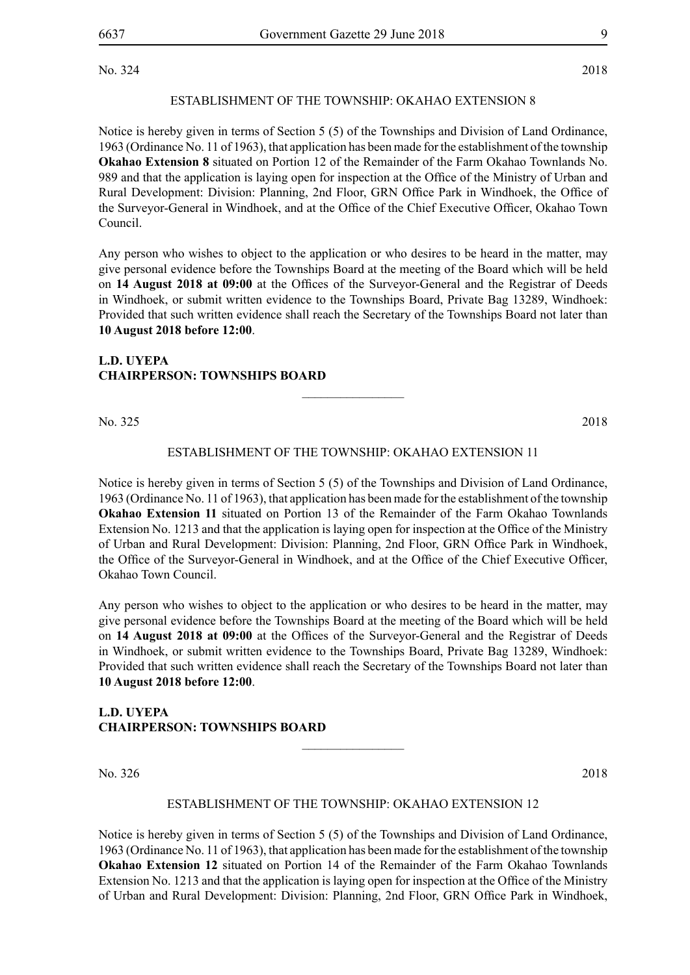No. 324 2018

#### ESTABLISHMENT OF THE TOWNSHIP: OKAHAO EXTENSION 8

Notice is hereby given in terms of Section 5 (5) of the Townships and Division of Land Ordinance, 1963 (Ordinance No. 11 of 1963), that application has been made for the establishment of the township **Okahao Extension 8** situated on Portion 12 of the Remainder of the Farm Okahao Townlands No. 989 and that the application is laying open for inspection at the Office of the Ministry of Urban and Rural Development: Division: Planning, 2nd Floor, GRN Office Park in Windhoek, the Office of the Surveyor-General in Windhoek, and at the Office of the Chief Executive Officer, Okahao Town Council.

Any person who wishes to object to the application or who desires to be heard in the matter, may give personal evidence before the Townships Board at the meeting of the Board which will be held on **14 August 2018 at 09:00** at the Offices of the Surveyor-General and the Registrar of Deeds in Windhoek, or submit written evidence to the Townships Board, Private Bag 13289, Windhoek: Provided that such written evidence shall reach the Secretary of the Townships Board not later than **10 August 2018 before 12:00**.

#### **L.D. UYEPA CHAIRPERSON: TOWNSHIPS BOARD**

No. 325 2018

#### ESTABLISHMENT OF THE TOWNSHIP: OKAHAO EXTENSION 11

 $\overline{\phantom{a}}$  , where  $\overline{\phantom{a}}$ 

Notice is hereby given in terms of Section 5 (5) of the Townships and Division of Land Ordinance, 1963 (Ordinance No. 11 of 1963), that application has been made for the establishment of the township **Okahao Extension 11** situated on Portion 13 of the Remainder of the Farm Okahao Townlands Extension No. 1213 and that the application is laying open for inspection at the Office of the Ministry of Urban and Rural Development: Division: Planning, 2nd Floor, GRN Office Park in Windhoek, the Office of the Surveyor-General in Windhoek, and at the Office of the Chief Executive Officer, Okahao Town Council.

Any person who wishes to object to the application or who desires to be heard in the matter, may give personal evidence before the Townships Board at the meeting of the Board which will be held on **14 August 2018 at 09:00** at the Offices of the Surveyor-General and the Registrar of Deeds in Windhoek, or submit written evidence to the Townships Board, Private Bag 13289, Windhoek: Provided that such written evidence shall reach the Secretary of the Townships Board not later than **10 August 2018 before 12:00**.

### **L.D. UYEPA CHAIRPERSON: TOWNSHIPS BOARD**

No. 326 2018

#### ESTABLISHMENT OF THE TOWNSHIP: OKAHAO EXTENSION 12

 $\frac{1}{2}$ 

Notice is hereby given in terms of Section 5 (5) of the Townships and Division of Land Ordinance, 1963 (Ordinance No. 11 of 1963), that application has been made for the establishment of the township **Okahao Extension 12** situated on Portion 14 of the Remainder of the Farm Okahao Townlands Extension No. 1213 and that the application is laying open for inspection at the Office of the Ministry of Urban and Rural Development: Division: Planning, 2nd Floor, GRN Office Park in Windhoek,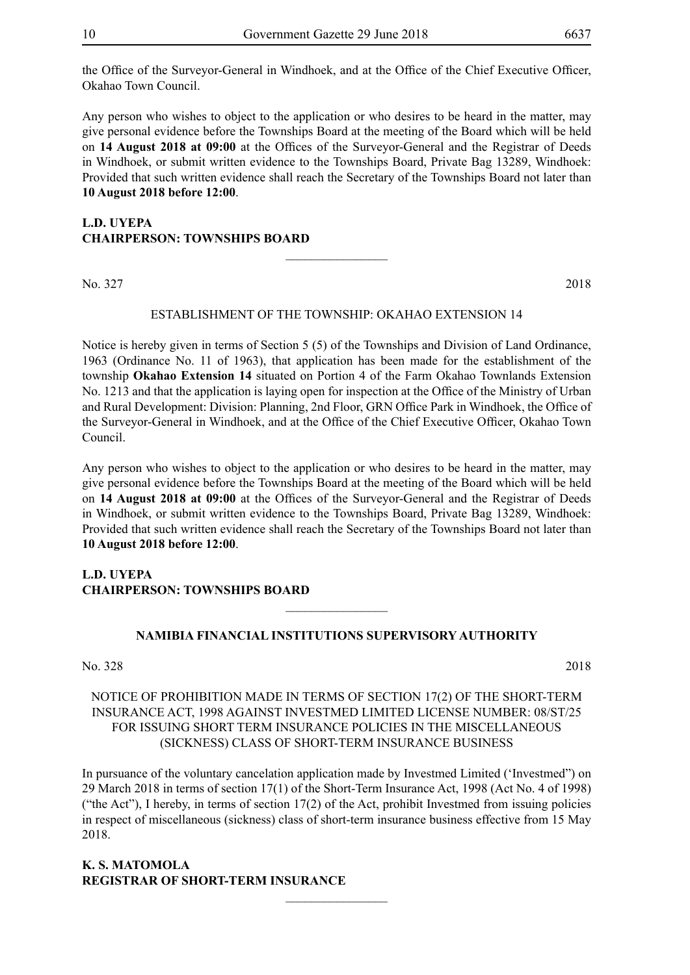the Office of the Surveyor-General in Windhoek, and at the Office of the Chief Executive Officer, Okahao Town Council.

Any person who wishes to object to the application or who desires to be heard in the matter, may give personal evidence before the Townships Board at the meeting of the Board which will be held on **14 August 2018 at 09:00** at the Offices of the Surveyor-General and the Registrar of Deeds in Windhoek, or submit written evidence to the Townships Board, Private Bag 13289, Windhoek: Provided that such written evidence shall reach the Secretary of the Townships Board not later than **10 August 2018 before 12:00**.

### **L.D. UYEPA CHAIRPERSON: TOWNSHIPS BOARD**

No. 327 2018

#### ESTABLISHMENT OF THE TOWNSHIP: OKAHAO EXTENSION 14

 $\overline{\phantom{a}}$  , where  $\overline{\phantom{a}}$ 

Notice is hereby given in terms of Section 5 (5) of the Townships and Division of Land Ordinance, 1963 (Ordinance No. 11 of 1963), that application has been made for the establishment of the township **Okahao Extension 14** situated on Portion 4 of the Farm Okahao Townlands Extension No. 1213 and that the application is laying open for inspection at the Office of the Ministry of Urban and Rural Development: Division: Planning, 2nd Floor, GRN Office Park in Windhoek, the Office of the Surveyor-General in Windhoek, and at the Office of the Chief Executive Officer, Okahao Town Council.

Any person who wishes to object to the application or who desires to be heard in the matter, may give personal evidence before the Townships Board at the meeting of the Board which will be held on **14 August 2018 at 09:00** at the Offices of the Surveyor-General and the Registrar of Deeds in Windhoek, or submit written evidence to the Townships Board, Private Bag 13289, Windhoek: Provided that such written evidence shall reach the Secretary of the Townships Board not later than **10 August 2018 before 12:00**.

#### **L.D. UYEPA CHAIRPERSON: TOWNSHIPS BOARD**

#### **NAMIBIA FINANCIAL INSTITUTIONS SUPERVISORY AUTHORITY**

 $\overline{\phantom{a}}$  , where  $\overline{\phantom{a}}$ 

No. 328 2018

#### NOTICE OF PROHIBITION MADE IN TERMS OF SECTION 17(2) OF THE SHORT-TERM INSURANCE ACT, 1998 AGAINST INVESTMED LIMITED LICENSE NUMBER: 08/ST/25 FOR ISSUING SHORT TERM INSURANCE POLICIES IN THE MISCELLANEOUS (SICKNESS) CLASS OF SHORT-TERM INSURANCE BUSINESS

In pursuance of the voluntary cancelation application made by Investmed Limited ('Investmed") on 29 March 2018 in terms of section 17(1) of the Short-Term Insurance Act, 1998 (Act No. 4 of 1998) ("the Act"), I hereby, in terms of section 17(2) of the Act, prohibit Investmed from issuing policies in respect of miscellaneous (sickness) class of short-term insurance business effective from 15 May 2018.

 $\overline{\phantom{a}}$  , where  $\overline{\phantom{a}}$ 

#### **K. S. Matomola REGISTRAR OF SHORT-TERM INSURANCE**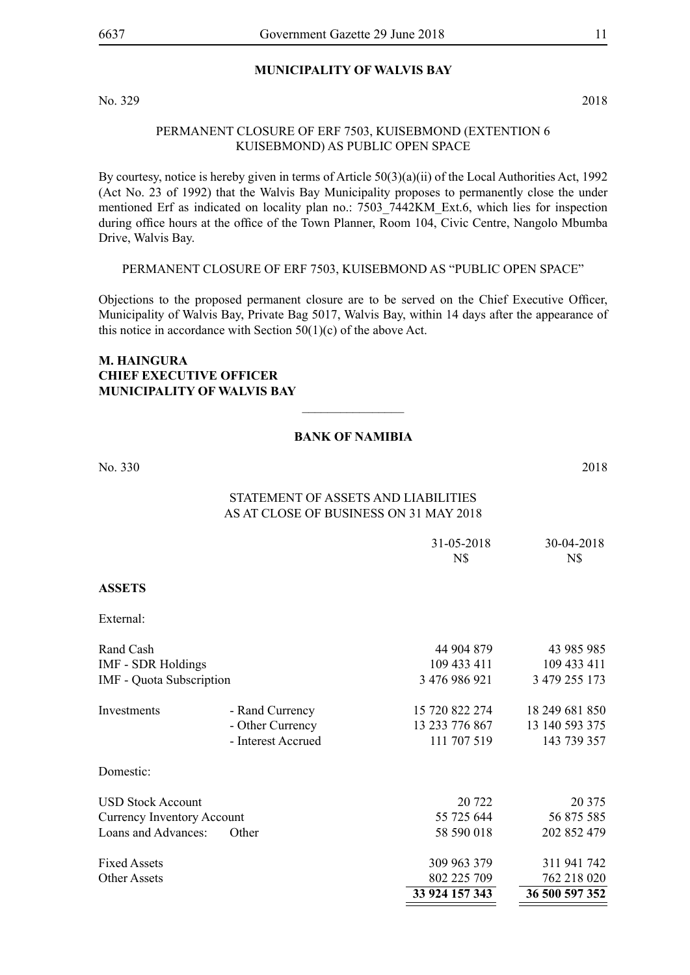#### **MUNICIPALITY OF WALVIS BAY**

No. 329 2018

#### PERMANENT CLOSURE OF ERF 7503, KUISEBMOND (EXTENTION 6 KUISEBMOND) AS PUBLIC OPEN SPACE

By courtesy, notice is hereby given in terms of Article 50(3)(a)(ii) of the Local Authorities Act, 1992 (Act No. 23 of 1992) that the Walvis Bay Municipality proposes to permanently close the under mentioned Erf as indicated on locality plan no.: 7503 7442KM Ext.6, which lies for inspection during office hours at the office of the Town Planner, Room 104, Civic Centre, Nangolo Mbumba Drive, Walvis Bay.

PERMANENT CLOSURE OF ERF 7503, KUISEBMOND AS "PUBLIC OPEN SPACE"

Objections to the proposed permanent closure are to be served on the Chief Executive Officer, Municipality of Walvis Bay, Private Bag 5017, Walvis Bay, within 14 days after the appearance of this notice in accordance with Section  $50(1)(c)$  of the above Act.

#### **M. Haingura Chief Executive Officer Municipality of Walvis Bay**

#### **BANK OF NAMIBIA**

 $\frac{1}{2}$ 

No. 330 2018

# Statement of Assets and Liabilities

# As at close of business on 31 May 2018

|                                   |                    | 31-05-2018<br>N\$ | 30-04-2018<br>N\$ |
|-----------------------------------|--------------------|-------------------|-------------------|
| <b>ASSETS</b>                     |                    |                   |                   |
| External:                         |                    |                   |                   |
| Rand Cash                         |                    | 44 904 879        | 43 985 985        |
| <b>IMF - SDR Holdings</b>         |                    | 109 433 411       | 109 433 411       |
| IMF - Quota Subscription          |                    | 3 476 986 921     | 3 479 255 173     |
| Investments                       | - Rand Currency    | 15 720 822 274    | 18 249 681 850    |
|                                   | - Other Currency   | 13 233 776 867    | 13 140 593 375    |
|                                   | - Interest Accrued | 111 707 519       | 143 739 357       |
| Domestic:                         |                    |                   |                   |
| <b>USD Stock Account</b>          |                    | 20 722            | 20 375            |
| <b>Currency Inventory Account</b> |                    | 55 725 644        | 56 875 585        |
| Loans and Advances:               | Other              | 58 590 018        | 202 852 479       |
| <b>Fixed Assets</b>               |                    | 309 963 379       | 311 941 742       |
| <b>Other Assets</b>               |                    | 802 225 709       | 762 218 020       |
|                                   |                    | 33 924 157 343    | 36 500 597 352    |